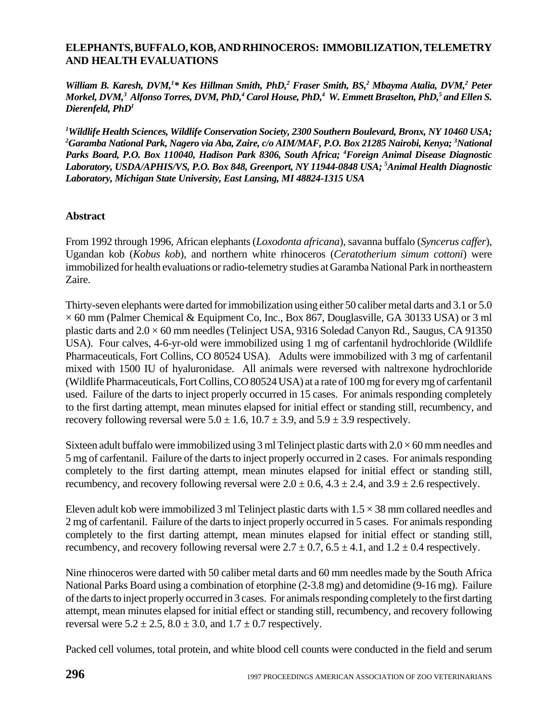## **ELEPHANTS, BUFFALO, KOB, AND RHINOCEROS: IMMOBILIZATION, TELEMETRY AND HEALTH EVALUATIONS**

William B. Karesh, DVM,<sup>1\*</sup> Kes Hillman Smith, PhD,<sup>2</sup> Fraser Smith, BS,<sup>2</sup> Mbayma Atalia, DVM,<sup>2</sup> Peter  $M$ orkel, DVM, $^3$  Alfonso Torres, DVM, PhD, $^4$  Carol House, PhD, $^4$  W. Emmett Braselton, PhD, $^5$  and Ellen S. *Dierenfeld, PhD1*

*1 Wildlife Health Sciences, Wildlife Conservation Society, 2300 Southern Boulevard, Bronx, NY 10460 USA; 2 Garamba National Park, Nagero via Aba, Zaire, c/o AIM/MAF, P.O. Box 21285 Nairobi, Kenya; 3 National Parks Board, P.O. Box 110040, Hadison Park 8306, South Africa; 4 Foreign Animal Disease Diagnostic Laboratory, USDA/APHIS/VS, P.O. Box 848, Greenport, NY 11944-0848 USA; 5 Animal Health Diagnostic Laboratory, Michigan State University, East Lansing, MI 48824-1315 USA*

## **Abstract**

From 1992 through 1996, African elephants (*Loxodonta africana*), savanna buffalo (*Syncerus caffer*), Ugandan kob (*Kobus kob*), and northern white rhinoceros (*Ceratotherium simum cottoni*) were immobilized for health evaluations or radio-telemetry studies at Garamba National Park in northeastern Zaire.

Thirty-seven elephants were darted for immobilization using either 50 caliber metal darts and 3.1 or 5.0  $\times$  60 mm (Palmer Chemical & Equipment Co, Inc., Box 867, Douglasville, GA 30133 USA) or 3 ml plastic darts and 2.0 × 60 mm needles (Telinject USA, 9316 Soledad Canyon Rd., Saugus, CA 91350 USA). Four calves, 4-6-yr-old were immobilized using 1 mg of carfentanil hydrochloride (Wildlife Pharmaceuticals, Fort Collins, CO 80524 USA). Adults were immobilized with 3 mg of carfentanil mixed with 1500 IU of hyaluronidase. All animals were reversed with naltrexone hydrochloride (Wildlife Pharmaceuticals, Fort Collins, CO 80524 USA) at a rate of 100 mg for every mg of carfentanil used. Failure of the darts to inject properly occurred in 15 cases. For animals responding completely to the first darting attempt, mean minutes elapsed for initial effect or standing still, recumbency, and recovery following reversal were  $5.0 \pm 1.6$ ,  $10.7 \pm 3.9$ , and  $5.9 \pm 3.9$  respectively.

Sixteen adult buffalo were immobilized using 3 ml Telinject plastic darts with  $2.0 \times 60$  mm needles and 5 mg of carfentanil. Failure of the darts to inject properly occurred in 2 cases. For animals responding completely to the first darting attempt, mean minutes elapsed for initial effect or standing still, recumbency, and recovery following reversal were  $2.0 \pm 0.6$ ,  $4.3 \pm 2.4$ , and  $3.9 \pm 2.6$  respectively.

Eleven adult kob were immobilized 3 ml Telinject plastic darts with  $1.5 \times 38$  mm collared needles and 2 mg of carfentanil. Failure of the darts to inject properly occurred in 5 cases. For animals responding completely to the first darting attempt, mean minutes elapsed for initial effect or standing still, recumbency, and recovery following reversal were  $2.7 \pm 0.7$ ,  $6.5 \pm 4.1$ , and  $1.2 \pm 0.4$  respectively.

Nine rhinoceros were darted with 50 caliber metal darts and 60 mm needles made by the South Africa National Parks Board using a combination of etorphine (2-3.8 mg) and detomidine (9-16 mg). Failure of the darts to inject properly occurred in 3 cases. For animals responding completely to the first darting attempt, mean minutes elapsed for initial effect or standing still, recumbency, and recovery following reversal were  $5.2 \pm 2.5$ ,  $8.0 \pm 3.0$ , and  $1.7 \pm 0.7$  respectively.

Packed cell volumes, total protein, and white blood cell counts were conducted in the field and serum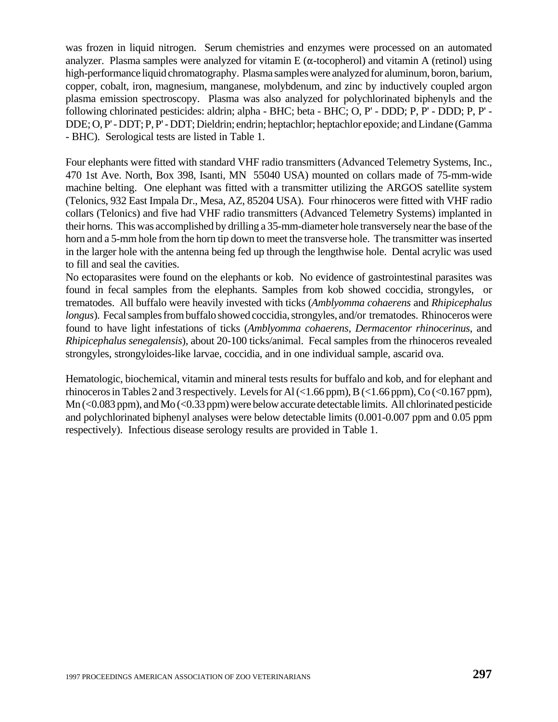was frozen in liquid nitrogen. Serum chemistries and enzymes were processed on an automated analyzer. Plasma samples were analyzed for vitamin E ( $\alpha$ -tocopherol) and vitamin A (retinol) using high-performance liquid chromatography. Plasma samples were analyzed for aluminum, boron, barium, copper, cobalt, iron, magnesium, manganese, molybdenum, and zinc by inductively coupled argon plasma emission spectroscopy. Plasma was also analyzed for polychlorinated biphenyls and the following chlorinated pesticides: aldrin; alpha - BHC; beta - BHC; O, P' - DDD; P, P' - DDD; P, P' - DDE; O, P' - DDT; P, P' - DDT; Dieldrin; endrin; heptachlor; heptachlor epoxide; and Lindane (Gamma - BHC). Serological tests are listed in Table 1.

Four elephants were fitted with standard VHF radio transmitters (Advanced Telemetry Systems, Inc., 470 1st Ave. North, Box 398, Isanti, MN 55040 USA) mounted on collars made of 75-mm-wide machine belting. One elephant was fitted with a transmitter utilizing the ARGOS satellite system (Telonics, 932 East Impala Dr., Mesa, AZ, 85204 USA). Four rhinoceros were fitted with VHF radio collars (Telonics) and five had VHF radio transmitters (Advanced Telemetry Systems) implanted in their horns. This was accomplished by drilling a 35-mm-diameter hole transversely near the base of the horn and a 5-mm hole from the horn tip down to meet the transverse hole. The transmitter was inserted in the larger hole with the antenna being fed up through the lengthwise hole. Dental acrylic was used to fill and seal the cavities.

No ectoparasites were found on the elephants or kob. No evidence of gastrointestinal parasites was found in fecal samples from the elephants. Samples from kob showed coccidia, strongyles, or trematodes. All buffalo were heavily invested with ticks (*Amblyomma cohaerens* and *Rhipicephalus longus*). Fecal samples from buffalo showed coccidia, strongyles, and/or trematodes. Rhinoceros were found to have light infestations of ticks (*Amblyomma cohaerens, Dermacentor rhinocerinus,* and *Rhipicephalus senegalensis*), about 20-100 ticks/animal. Fecal samples from the rhinoceros revealed strongyles, strongyloides-like larvae, coccidia, and in one individual sample, ascarid ova.

Hematologic, biochemical, vitamin and mineral tests results for buffalo and kob, and for elephant and rhinoceros in Tables 2 and 3 respectively. Levels for Al  $\ll$  1.66 ppm), B  $\ll$  1.66 ppm), Co  $\ll$  0.167 ppm), Mn (<0.083 ppm), and Mo (<0.33 ppm) were below accurate detectable limits. All chlorinated pesticide and polychlorinated biphenyl analyses were below detectable limits (0.001-0.007 ppm and 0.05 ppm respectively). Infectious disease serology results are provided in Table 1.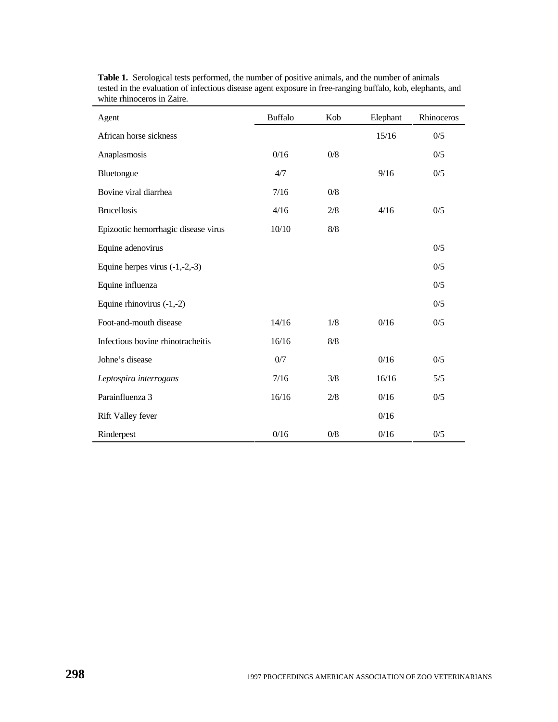| Agent                               | <b>Buffalo</b> | Kob   | Elephant | Rhinoceros |
|-------------------------------------|----------------|-------|----------|------------|
| African horse sickness              |                |       | 15/16    | 0/5        |
| Anaplasmosis                        | 0/16           | 0/8   |          | 0/5        |
| Bluetongue                          | 4/7            |       | 9/16     | 0/5        |
| Bovine viral diarrhea               | 7/16           | 0/8   |          |            |
| <b>Brucellosis</b>                  | 4/16           | 2/8   | 4/16     | 0/5        |
| Epizootic hemorrhagic disease virus | 10/10          | 8/8   |          |            |
| Equine adenovirus                   |                |       |          | 0/5        |
| Equine herpes virus $(-1,-2,-3)$    |                |       |          | 0/5        |
| Equine influenza                    |                |       |          | 0/5        |
| Equine rhinovirus $(-1,-2)$         |                |       |          | 0/5        |
| Foot-and-mouth disease              | 14/16          | 1/8   | 0/16     | 0/5        |
| Infectious bovine rhinotracheitis   | 16/16          | 8/8   |          |            |
| Johne's disease                     | 0/7            |       | 0/16     | 0/5        |
| Leptospira interrogans              | 7/16           | 3/8   | 16/16    | 5/5        |
| Parainfluenza 3                     | 16/16          | 2/8   | 0/16     | 0/5        |
| <b>Rift Valley fever</b>            |                |       | 0/16     |            |
| Rinderpest                          | 0/16           | $0/8$ | 0/16     | 0/5        |

**Table 1.** Serological tests performed, the number of positive animals, and the number of animals tested in the evaluation of infectious disease agent exposure in free-ranging buffalo, kob, elephants, and white rhinoceros in Zaire.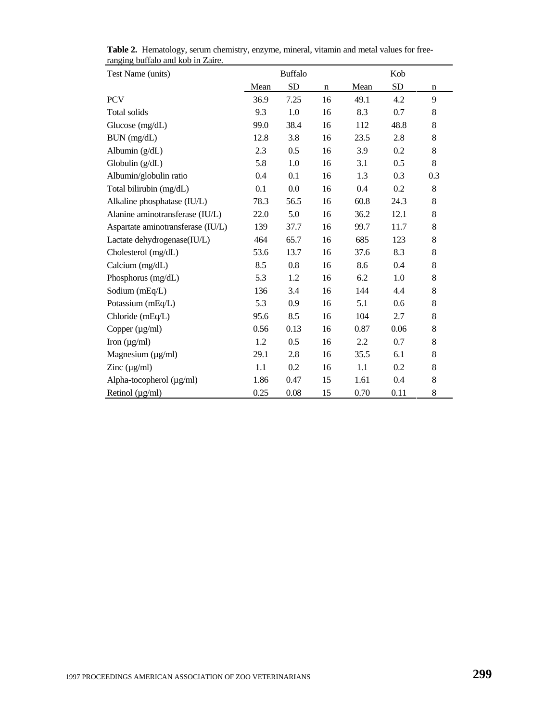| Test Name (units)                 | <b>Buffalo</b> |           |    | Kob  |      |             |  |
|-----------------------------------|----------------|-----------|----|------|------|-------------|--|
|                                   | Mean           | <b>SD</b> | n  | Mean | SD   | n           |  |
| <b>PCV</b>                        | 36.9           | 7.25      | 16 | 49.1 | 4.2  | 9           |  |
| Total solids                      | 9.3            | 1.0       | 16 | 8.3  | 0.7  | 8           |  |
| Glucose (mg/dL)                   | 99.0           | 38.4      | 16 | 112  | 48.8 | 8           |  |
| BUN (mg/dL)                       | 12.8           | 3.8       | 16 | 23.5 | 2.8  | $\,$ 8 $\,$ |  |
| Albumin $(g/dL)$                  | 2.3            | 0.5       | 16 | 3.9  | 0.2  | 8           |  |
| Globulin $(g/dL)$                 | 5.8            | 1.0       | 16 | 3.1  | 0.5  | 8           |  |
| Albumin/globulin ratio            | 0.4            | 0.1       | 16 | 1.3  | 0.3  | 0.3         |  |
| Total bilirubin (mg/dL)           | 0.1            | 0.0       | 16 | 0.4  | 0.2  | 8           |  |
| Alkaline phosphatase (IU/L)       | 78.3           | 56.5      | 16 | 60.8 | 24.3 | 8           |  |
| Alanine aminotransferase (IU/L)   | 22.0           | 5.0       | 16 | 36.2 | 12.1 | $\,8$       |  |
| Aspartate aminotransferase (IU/L) | 139            | 37.7      | 16 | 99.7 | 11.7 | $8\,$       |  |
| Lactate dehydrogenase(IU/L)       | 464            | 65.7      | 16 | 685  | 123  | 8           |  |
| Cholesterol (mg/dL)               | 53.6           | 13.7      | 16 | 37.6 | 8.3  | $\,$ 8 $\,$ |  |
| Calcium (mg/dL)                   | 8.5            | 0.8       | 16 | 8.6  | 0.4  | 8           |  |
| Phosphorus (mg/dL)                | 5.3            | 1.2       | 16 | 6.2  | 1.0  | $\,$ 8 $\,$ |  |
| Sodium (mEq/L)                    | 136            | 3.4       | 16 | 144  | 4.4  | 8           |  |
| Potassium (mEq/L)                 | 5.3            | 0.9       | 16 | 5.1  | 0.6  | $8\,$       |  |
| Chloride (mEq/L)                  | 95.6           | 8.5       | 16 | 104  | 2.7  | $\,$ 8 $\,$ |  |
| Copper $(\mu g/ml)$               | 0.56           | 0.13      | 16 | 0.87 | 0.06 | 8           |  |
| Iron $(\mu g/ml)$                 | 1.2            | 0.5       | 16 | 2.2  | 0.7  | 8           |  |
| Magnesium $(\mu g/ml)$            | 29.1           | 2.8       | 16 | 35.5 | 6.1  | 8           |  |
| Zinc $(\mu g/ml)$                 | 1.1            | 0.2       | 16 | 1.1  | 0.2  | 8           |  |
| Alpha-tocopherol (µg/ml)          | 1.86           | 0.47      | 15 | 1.61 | 0.4  | 8           |  |
| Retinol $(\mu g/ml)$              | 0.25           | 0.08      | 15 | 0.70 | 0.11 | 8           |  |

**Table 2.** Hematology, serum chemistry, enzyme, mineral, vitamin and metal values for freeranging buffalo and kob in Zaire.